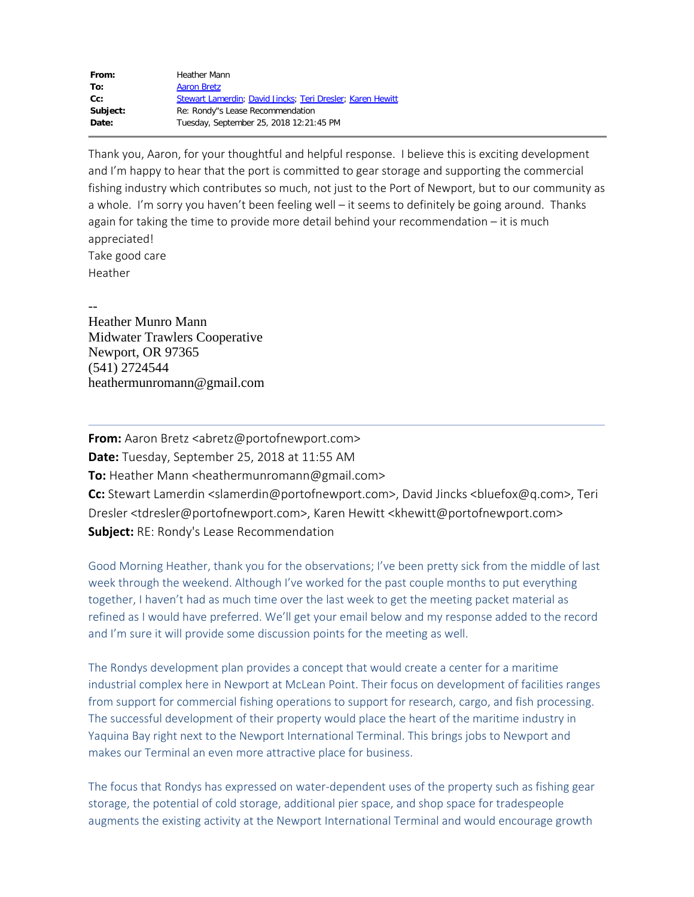| From:    | <b>Heather Mann</b>                                        |
|----------|------------------------------------------------------------|
| To:      | <b>Aaron Bretz</b>                                         |
| $Cc$ :   | Stewart Lamerdin; David Jincks; Teri Dresler; Karen Hewitt |
| Subject: | Re: Rondy"s Lease Recommendation                           |
| Date:    | Tuesday, September 25, 2018 12:21:45 PM                    |
|          |                                                            |

Thank you, Aaron, for your thoughtful and helpful response. I believe this is exciting development and I'm happy to hear that the port is committed to gear storage and supporting the commercial fishing industry which contributes so much, not just to the Port of Newport, but to our community as a whole. I'm sorry you haven't been feeling well - it seems to definitely be going around. Thanks again for taking the time to provide more detail behind your recommendation – it is much appreciated! Take good care Heather

-- Heather Munro Mann Midwater Trawlers Cooperative Newport, OR 97365 (541) 2724544 heathermunromann@gmail.com

**From:** Aaron Bretz <abretz@portofnewport.com> **Date:** Tuesday, September 25, 2018 at 11:55 AM **To:** Heather Mann <heathermunromann@gmail.com> **Cc:** Stewart Lamerdin <slamerdin@portofnewport.com>, David Jincks <bluefox@q.com>, Teri Dresler <tdresler@portofnewport.com>, Karen Hewitt <khewitt@portofnewport.com> **Subject:** RE: Rondy's Lease Recommendation

Good Morning Heather, thank you for the observations; I've been pretty sick from the middle of last week through the weekend. Although I've worked for the past couple months to put everything together, I haven't had as much time over the last week to get the meeting packet material as refined as I would have preferred. We'll get your email below and my response added to the record and I'm sure it will provide some discussion points for the meeting as well.

The Rondys development plan provides a concept that would create a center for a maritime industrial complex here in Newport at McLean Point. Their focus on development of facilities ranges from support for commercial fishing operations to support for research, cargo, and fish processing. The successful development of their property would place the heart of the maritime industry in Yaquina Bay right next to the Newport International Terminal. This brings jobs to Newport and makes our Terminal an even more attractive place for business.

The focus that Rondys has expressed on water-dependent uses of the property such as fishing gear storage, the potential of cold storage, additional pier space, and shop space for tradespeople augments the existing activity at the Newport International Terminal and would encourage growth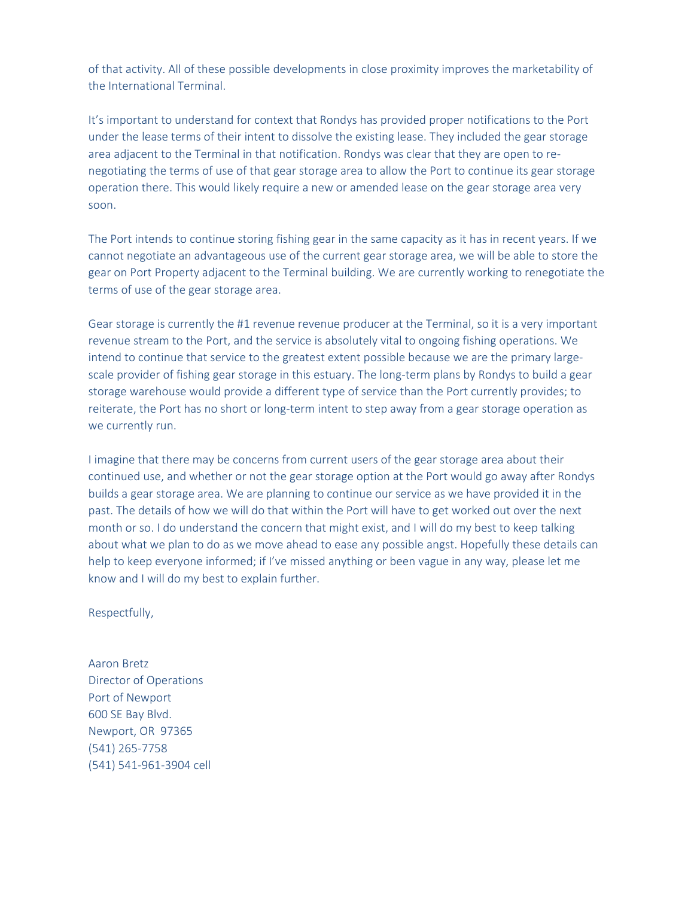of that activity. All of these possible developments in close proximity improves the marketability of the International Terminal.

It's important to understand for context that Rondys has provided proper notifications to the Port under the lease terms of their intent to dissolve the existing lease. They included the gear storage area adjacent to the Terminal in that notification. Rondys was clear that they are open to renegotiating the terms of use of that gear storage area to allow the Port to continue its gear storage operation there. This would likely require a new or amended lease on the gear storage area very soon.

The Port intends to continue storing fishing gear in the same capacity as it has in recent years. If we cannot negotiate an advantageous use of the current gear storage area, we will be able to store the gear on Port Property adjacent to the Terminal building. We are currently working to renegotiate the terms of use of the gear storage area.

Gear storage is currently the #1 revenue revenue producer at the Terminal, so it is a very important revenue stream to the Port, and the service is absolutely vital to ongoing fishing operations. We intend to continue that service to the greatest extent possible because we are the primary largescale provider of fishing gear storage in this estuary. The long-term plans by Rondys to build a gear storage warehouse would provide a different type of service than the Port currently provides; to reiterate, the Port has no short or long-term intent to step away from a gear storage operation as we currently run.

I imagine that there may be concerns from current users of the gear storage area about their continued use, and whether or not the gear storage option at the Port would go away after Rondys builds a gear storage area. We are planning to continue our service as we have provided it in the past. The details of how we will do that within the Port will have to get worked out over the next month or so. I do understand the concern that might exist, and I will do my best to keep talking about what we plan to do as we move ahead to ease any possible angst. Hopefully these details can help to keep everyone informed; if I've missed anything or been vague in any way, please let me know and I will do my best to explain further.

Respectfully,

Aaron Bretz Director of Operations Port of Newport 600 SE Bay Blvd. Newport, OR 97365 (541) 265-7758 (541) 541-961-3904 cell